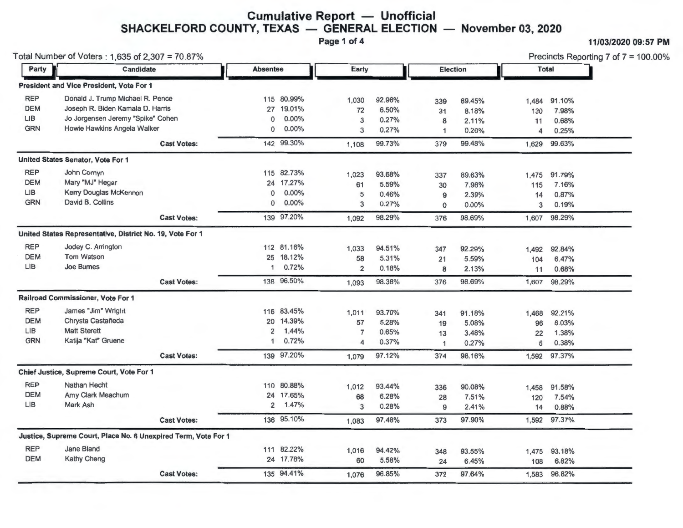#### **Cumulative Report — Unofficial SHACKELFORD COUNTY, TEXAS — GENERAL ELECTION — November 03, 2020**

**Page 1of4 11/03/2020 09:57 PM** 

| Total Number of Voters: 1,635 of 2,307 = 70.87% |                                                                |                    |                      |            |                |        |              |        | Precincts Reporting 7 of 7 = 100.00% |              |  |
|-------------------------------------------------|----------------------------------------------------------------|--------------------|----------------------|------------|----------------|--------|--------------|--------|--------------------------------------|--------------|--|
| Party                                           | Candidate                                                      |                    | <b>Absentee</b>      |            | Early          |        | Election     |        |                                      | <b>Total</b> |  |
|                                                 | President and Vice President, Vote For 1                       |                    |                      |            |                |        |              |        |                                      |              |  |
| <b>REP</b>                                      | Donald J. Trump Michael R. Pence                               |                    |                      | 115 80.99% | 1,030          | 92.96% | 339          | 89.45% | 1,484                                | 91.10%       |  |
| <b>DEM</b>                                      | Joseph R. Biden Kamala D. Harris                               |                    | 27 19.01%            | 72         | 6.50%          | 31     | 8.18%        | 130    | 7.98%                                |              |  |
| <b>LIB</b>                                      | Jo Jorgensen Jeremy "Spike" Cohen                              | $^{\circ}$         | $0.00\%$             | 3          | 0.27%          | 8      | 2.11%        | 11     | 0.68%                                |              |  |
| <b>GRN</b>                                      | Howie Hawkins Angela Walker                                    |                    | $\mathbf 0$          | $0.00\%$   | 3              | 0.27%  | $\mathbf{1}$ | 0.26%  | 4                                    | 0.25%        |  |
|                                                 |                                                                | <b>Cast Votes:</b> |                      | 142 99.30% | 1,108          | 99.73% | 379          | 99.48% | 1,629                                | 99.63%       |  |
|                                                 | United States Senator, Vote For 1                              |                    |                      |            |                |        |              |        |                                      |              |  |
| <b>REP</b>                                      | John Comyn                                                     |                    |                      | 115 82.73% | 1,023          | 93.68% | 337          | 89.63% | 1,475                                | 91.79%       |  |
| <b>DEM</b>                                      | Mary "MJ" Hegar                                                |                    |                      | 24 17.27%  | 61             | 5.59%  | 30           | 7.98%  | 115                                  | 7.16%        |  |
| <b>LIB</b>                                      | Kerry Douglas McKennon                                         |                    | $\mathbf 0$          | $0.00\%$   | 5              | 0.46%  | 9            | 2.39%  | 14                                   | 0.87%        |  |
| <b>GRN</b>                                      | David B. Collins                                               |                    | $\Omega$             | $0.00\%$   | 3              | 0.27%  | $\mathbf 0$  | 0.00%  | 3                                    | 0.19%        |  |
|                                                 |                                                                | <b>Cast Votes:</b> |                      | 139 97.20% | 1,092          | 98.29% | 376          | 98.69% |                                      | 1,607 98.29% |  |
|                                                 | United States Representative, District No. 19, Vote For 1      |                    |                      |            |                |        |              |        |                                      |              |  |
| <b>REP</b>                                      | Jodey C. Arrington                                             |                    |                      | 112 81.16% | 1,033          | 94.51% | 347          | 92.29% | 1,492                                | 92.84%       |  |
| <b>DEM</b>                                      | <b>Tom Watson</b>                                              |                    | 25                   | 18.12%     | 58             | 5.31%  | 21           | 5.59%  | 104                                  | 6.47%        |  |
| LIB                                             | <b>Joe Bumes</b>                                               |                    | 1                    | 0.72%      | $\overline{2}$ | 0.18%  | 8            | 2.13%  | 11                                   | 0.68%        |  |
|                                                 |                                                                | <b>Cast Votes:</b> |                      | 138 96.50% | 1.093          | 98.38% | 376          | 98.69% | 1,607                                | 98.29%       |  |
|                                                 | Railroad Commissioner, Vote For 1                              |                    |                      |            |                |        |              |        |                                      |              |  |
| <b>REP</b>                                      | James "Jim" Wright                                             |                    |                      | 116 83.45% | 1,011          | 93.70% | 341          | 91.18% | 1,468                                | 92.21%       |  |
| <b>DEM</b>                                      | Chrysta Castañeda                                              |                    | 20                   | 14.39%     | 57             | 5.28%  | 19           | 5.08%  | 96                                   | 6.03%        |  |
| <b>LIB</b>                                      | <b>Matt Sterett</b>                                            |                    | $\overline{2}$       | 1.44%      | $\overline{7}$ | 0.65%  | 13           | 3.48%  | 22                                   | 1.38%        |  |
| <b>GRN</b>                                      | Katija "Kat" Gruene                                            |                    | $\blacktriangleleft$ | 0.72%      | 4              | 0.37%  | $\mathbf{1}$ | 0.27%  | 6                                    | 0.38%        |  |
|                                                 |                                                                | <b>Cast Votes:</b> |                      | 139 97.20% | 1,079          | 97.12% | 374          | 98.16% |                                      | 1,592 97.37% |  |
|                                                 | Chief Justice, Supreme Court, Vote For 1                       |                    |                      |            |                |        |              |        |                                      |              |  |
| <b>REP</b>                                      | Nathan Hecht                                                   |                    |                      | 110 80.88% | 1,012          | 93.44% | 336          | 90.08% | 1,458                                | 91.58%       |  |
| <b>DEM</b>                                      | Amy Clark Meachum                                              |                    |                      | 24 17.65%  | 68             | 6.28%  | 28           | 7.51%  | 120                                  | 7.54%        |  |
| LIB                                             | Mark Ash                                                       |                    | 2                    | 1.47%      | 3              | 0.28%  | 9            | 2.41%  | 14                                   | 0.88%        |  |
|                                                 |                                                                | <b>Cast Votes:</b> |                      | 136 95.10% | 1,083          | 97.48% | 373          | 97.90% |                                      | 1,592 97.37% |  |
|                                                 | Justice, Supreme Court, Place No. 6 Unexpired Term, Vote For 1 |                    |                      |            |                |        |              |        |                                      |              |  |
| <b>REP</b>                                      | Jane Bland                                                     |                    |                      | 111 82.22% | 1,016          | 94.42% | 348          | 93.55% | 1,475                                | 93.18%       |  |
| <b>DEM</b>                                      | Kathy Cheng                                                    |                    |                      | 24 17.78%  | 60             | 5.58%  | 24           | 6.45%  | 108                                  | 6.82%        |  |
|                                                 |                                                                | <b>Cast Votes:</b> |                      | 135 94.41% | 1,076          | 96.85% | 372          | 97.64% | 1,583                                | 96.82%       |  |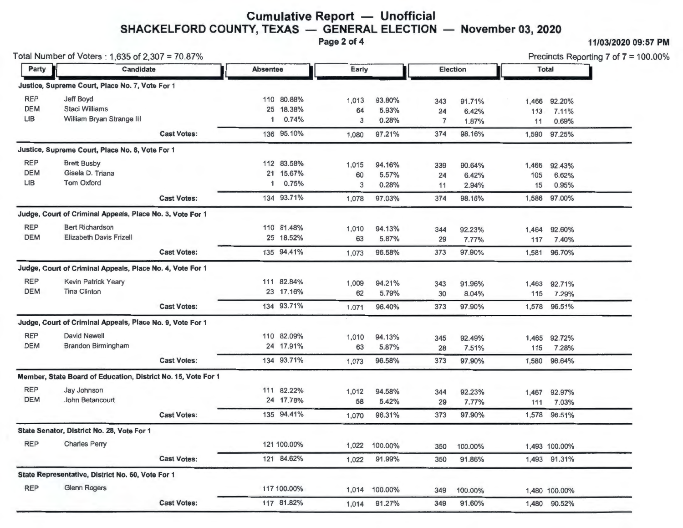# **Cumulative Report** - **Unofficial**   $SHACKELFORD COUNTY, TEXAS — GENERAL ELECTION — November 03, 2020$

Page 2 of 4 11/03/2020 09:57 PM

|            | Total Number of Voters: 1,635 of 2,307 = 70.87%               |                    |                          |             |       |          |                |         | Precincts Reporting 7 of $7 = 100.00\%$ |               |  |
|------------|---------------------------------------------------------------|--------------------|--------------------------|-------------|-------|----------|----------------|---------|-----------------------------------------|---------------|--|
|            | Candidate<br>Party                                            |                    | Early<br><b>Absentee</b> |             |       | Election |                |         | <b>Total</b>                            |               |  |
|            | Justice, Supreme Court, Place No. 7, Vote For 1               |                    |                          |             |       |          |                |         |                                         |               |  |
| <b>REP</b> | Jeff Boyd                                                     |                    |                          | 110 80.88%  | 1,013 | 93.80%   | 343            | 91.71%  | 1,466                                   | 92.20%        |  |
| <b>DEM</b> | <b>Staci Williams</b>                                         |                    |                          | 25 18.38%   | 64    | 5.93%    | 24             | 6.42%   | 113                                     | 7.11%         |  |
| LIB        | William Bryan Strange III                                     |                    | 1                        | 0.74%       | 3     | 0.28%    | $\overline{7}$ | 1.87%   | 11                                      | 0.69%         |  |
|            |                                                               | <b>Cast Votes:</b> |                          | 136 95.10%  | 1,080 | 97.21%   | 374            | 98.16%  | 1,590                                   | 97.25%        |  |
|            | Justice, Supreme Court, Place No. 8, Vote For 1               |                    |                          |             |       |          |                |         |                                         |               |  |
| <b>REP</b> | <b>Brett Busby</b>                                            |                    |                          | 112 83.58%  | 1,015 | 94.16%   | 339            | 90.64%  | 1,466                                   | 92.43%        |  |
| <b>DEM</b> | Gisela D. Triana                                              |                    |                          | 21 15.67%   | 60    | 5.57%    | 24             | 6.42%   | 105                                     | 6.62%         |  |
| <b>LIB</b> | <b>Tom Oxford</b>                                             |                    | 1                        | 0.75%       | 3     | 0.28%    | 11             | 2.94%   | 15                                      | 0.95%         |  |
|            |                                                               | <b>Cast Votes:</b> |                          | 134 93.71%  | 1,078 | 97.03%   | 374            | 98.16%  | 1,586                                   | 97.00%        |  |
|            | Judge, Court of Criminal Appeals, Place No. 3, Vote For 1     |                    |                          |             |       |          |                |         |                                         |               |  |
| <b>REP</b> | <b>Bert Richardson</b>                                        |                    |                          | 110 81.48%  | 1,010 | 94.13%   | 344            | 92.23%  | 1,464                                   | 92.60%        |  |
| <b>DEM</b> | <b>Elizabeth Davis Frizell</b>                                |                    |                          | 25 18.52%   | 63    | 5.87%    | 29             | 7.77%   | 117                                     | 7.40%         |  |
|            |                                                               | <b>Cast Votes:</b> |                          | 135 94.41%  | 1,073 | 96.58%   | 373            | 97.90%  |                                         | 1,581 96.70%  |  |
|            | Judge, Court of Criminal Appeals, Place No. 4, Vote For 1     |                    |                          |             |       |          |                |         |                                         |               |  |
| <b>REP</b> | Kevin Patrick Yeary                                           |                    |                          | 111 82.84%  | 1,009 | 94.21%   | 343            | 91.96%  | 1,463                                   | 92.71%        |  |
| <b>DEM</b> | <b>Tina Clinton</b>                                           |                    |                          | 23 17.16%   | 62    | 5.79%    | 30             | 8.04%   | 115                                     | 7.29%         |  |
|            |                                                               | <b>Cast Votes:</b> |                          | 134 93.71%  | 1,071 | 96.40%   | 373            | 97.90%  |                                         | 1,578 96.51%  |  |
|            | Judge, Court of Criminal Appeals, Place No. 9, Vote For 1     |                    |                          |             |       |          |                |         |                                         |               |  |
| <b>REP</b> | <b>David Newell</b>                                           |                    |                          | 110 82.09%  | 1,010 | 94.13%   | 345            | 92.49%  |                                         | 1,465 92.72%  |  |
| <b>DEM</b> | <b>Brandon Birmingham</b>                                     |                    |                          | 24 17.91%   | 63    | 5.87%    | 28             | 7.51%   | 115                                     | 7.28%         |  |
|            |                                                               | <b>Cast Votes:</b> |                          | 134 93.71%  | 1,073 | 96.58%   | 373            | 97.90%  |                                         | 1,580 96.64%  |  |
|            | Member, State Board of Education, District No. 15, Vote For 1 |                    |                          |             |       |          |                |         |                                         |               |  |
| <b>REP</b> | Jay Johnson                                                   |                    |                          | 111 82.22%  | 1,012 | 94.58%   | 344            | 92.23%  | 1,467                                   | 92.97%        |  |
| <b>DEM</b> | John Betancourt                                               |                    |                          | 24 17.78%   | 58    | 5.42%    | 29             | 7.77%   | 111                                     | 7.03%         |  |
|            |                                                               | <b>Cast Votes:</b> |                          | 135 94.41%  | 1,070 | 96.31%   | 373            | 97.90%  |                                         | 1,578 96.51%  |  |
|            | State Senator, District No. 28, Vote For 1                    |                    |                          |             |       |          |                |         |                                         |               |  |
| <b>REP</b> | <b>Charles Perry</b>                                          |                    |                          | 121 100.00% | 1,022 | 100.00%  | 350            | 100.00% |                                         | 1,493 100.00% |  |
|            |                                                               | <b>Cast Votes:</b> |                          | 121 84.62%  | 1,022 | 91.99%   | 350            | 91.86%  |                                         | 1,493 91.31%  |  |
|            | State Representative, District No. 60, Vote For 1             |                    |                          |             |       |          |                |         |                                         |               |  |
| <b>REP</b> | <b>Glenn Rogers</b>                                           |                    |                          | 117 100.00% | 1,014 | 100.00%  | 349            | 100.00% |                                         | 1,480 100.00% |  |
|            |                                                               | <b>Cast Votes:</b> |                          | 117 81.82%  | 1,014 | 91.27%   | 349            | 91.60%  |                                         | 1,480 90.52%  |  |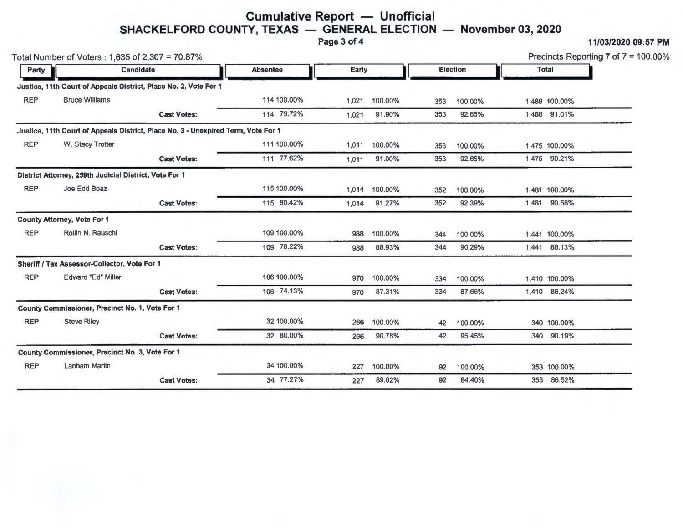## **Cumulative Report - Unofficial SHACKELFORD COUNTY, TEXAS — GENERAL ELECTION — November 03, 2020**

Page 3 of 4 11/03/2020 09:57 PM

|            | Total Number of Voters: 1,635 of 2,307 = 70.87%                                   |                    |                 |       | Precincts Reporting 7 of $7 = 100.00\%$ |                 |         |              |               |  |
|------------|-----------------------------------------------------------------------------------|--------------------|-----------------|-------|-----------------------------------------|-----------------|---------|--------------|---------------|--|
| Party      | Candidate                                                                         |                    | <b>Absentee</b> | Early |                                         | <b>Election</b> |         |              | <b>Total</b>  |  |
|            | Justice, 11th Court of Appeals District, Place No. 2, Vote For 1                  |                    |                 |       |                                         |                 |         |              |               |  |
| <b>REP</b> | <b>Bruce Williams</b>                                                             |                    | 114 100.00%     | 1,021 | 100.00%                                 | 353             | 100.00% |              | 1,488 100.00% |  |
|            |                                                                                   | <b>Cast Votes:</b> | 114 79.72%      | 1.021 | 91.90%<br>353                           | 92.65%          |         | 1,488 91.01% |               |  |
|            | Justice, 11th Court of Appeals District, Place No. 3 - Unexpired Term, Vote For 1 |                    |                 |       |                                         |                 |         |              |               |  |
| <b>REP</b> | W. Stacy Trotter                                                                  |                    | 111 100.00%     | 1,011 | 100.00%                                 | 353             | 100.00% |              | 1,475 100.00% |  |
|            |                                                                                   | <b>Cast Votes:</b> | 111 77.62%      | 1,011 | 91.00%                                  | 353             | 92.65%  |              | 1,475 90.21%  |  |
|            | District Attorney, 259th Judicial District, Vote For 1                            |                    |                 |       |                                         |                 |         |              |               |  |
| <b>REP</b> | Joe Edd Boaz                                                                      |                    | 115 100.00%     | 1,014 | 100.00%                                 | 352             | 100.00% |              | 1,481 100.00% |  |
|            |                                                                                   | <b>Cast Votes:</b> | 115 80.42%      | 1,014 | 91.27%                                  | 352             | 92.39%  |              | 1,481 90.58%  |  |
|            | <b>County Attorney, Vote For 1</b>                                                |                    |                 |       |                                         |                 |         |              |               |  |
| <b>REP</b> | Rollin N. Rauschl                                                                 |                    | 109 100.00%     | 988   | 100.00%                                 | 344             | 100.00% |              | 1,441 100.00% |  |
|            |                                                                                   | <b>Cast Votes:</b> | 109 76.22%      | 988   | 88.93%                                  | 344             | 90.29%  |              | 1,441 88.13%  |  |
|            | Sheriff / Tax Assessor-Collector, Vote For 1                                      |                    |                 |       |                                         |                 |         |              |               |  |
| <b>REP</b> | Edward "Ed" Miller                                                                |                    | 106 100.00%     | 970   | 100.00%                                 | 334             | 100.00% |              | 1,410 100.00% |  |
|            |                                                                                   | <b>Cast Votes:</b> | 106 74.13%      | 970   | 87.31%                                  | 334             | 87.66%  |              | 1,410 86.24%  |  |
|            | County Commissioner, Precinct No. 1, Vote For 1                                   |                    |                 |       |                                         |                 |         |              |               |  |
| <b>REP</b> | <b>Steve Riley</b>                                                                |                    | 32 100.00%      | 266   | 100.00%                                 | 42              | 100.00% |              | 340 100.00%   |  |
|            |                                                                                   | <b>Cast Votes:</b> | 32 80.00%       | 266   | 90.78%                                  | 42              | 95.45%  |              | 340 90.19%    |  |
|            | County Commissioner, Precinct No. 3, Vote For 1                                   |                    |                 |       |                                         |                 |         |              |               |  |
| <b>REP</b> | Lanham Martin                                                                     |                    | 34 100.00%      | 227   | 100.00%                                 | 92              | 100.00% |              | 353 100.00%   |  |
|            |                                                                                   | <b>Cast Votes:</b> | 34 77.27%       | 227   | 89.02%                                  | 92              | 84.40%  | 353          | 86.52%        |  |